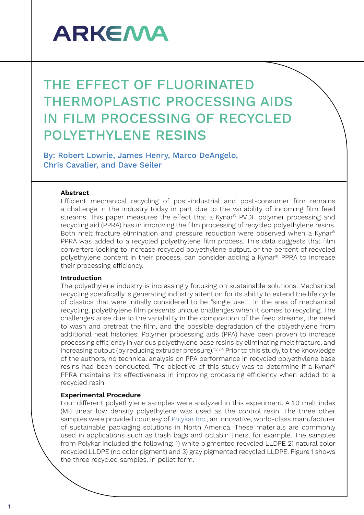# **ARKEMA**

# THE EFFECT OF FLUORINATED THERMOPLASTIC PROCESSING AIDS IN FILM PROCESSING OF RECYCLED POLYETHYLENE RESINS

By: Robert Lowrie, James Henry, Marco DeAngelo, Chris Cavalier, and Dave Seiler

## **Abstract**

Efficient mechanical recycling of post-industrial and post-consumer film remains a challenge in the industry today in part due to the variability of incoming film feed streams. This paper measures the effect that a Kynar® PVDF polymer processing and recycling aid (PPRA) has in improving the film processing of recycled polyethylene resins. Both melt fracture elimination and pressure reduction were observed when a Kynar® PPRA was added to a recycled polyethylene film process. This data suggests that film converters looking to increase recycled polyethylene output, or the percent of recycled polyethylene content in their process, can consider adding a Kynar® PPRA to increase their processing efficiency.

### **Introduction**

The polyethylene industry is increasingly focusing on sustainable solutions. Mechanical recycling specifically is generating industry attention for its ability to extend the life cycle of plastics that were initially considered to be "single use." In the area of mechanical recycling, polyethylene film presents unique challenges when it comes to recycling. The challenges arise due to the variability in the composition of the feed streams, the need to wash and pretreat the film, and the possible degradation of the polyethylene from additional heat histories. Polymer processing aids (PPA) have been proven to increase processing efficiency in various polyethylene base resins by eliminating melt fracture, and increasing output (by reducing extruder pressure).<sup>1,2,3,4</sup> Prior to this study, to the knowledge of the authors, no technical analysis on PPA performance in recycled polyethylene base resins had been conducted. The objective of this study was to determine if a Kynar® PPRA maintains its effectiveness in improving processing efficiency when added to a recycled resin.

# **Experimental Procedure**

Four different polyethylene samples were analyzed in this experiment. A 1.0 melt index (MI) linear low density polyethylene was used as the control resin. The three other samples were provided courtesy of [Polykar Inc.](https://www.polykar.com/en/home), an innovative, world-class manufacturer of sustainable packaging solutions in North America. These materials are commonly used in applications such as trash bags and octabin liners, for example. The samples from Polykar included the following: 1) white pigmented recycled LLDPE 2) natural color recycled LLDPE (no color pigment) and 3) gray pigmented recycled LLDPE. Figure 1 shows the three recycled samples, in pellet form.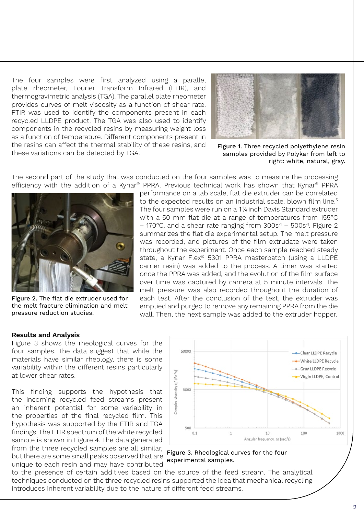The four samples were first analyzed using a parallel plate rheometer, Fourier Transform Infrared (FTIR), and thermogravimetric analysis (TGA). The parallel plate rheometer provides curves of melt viscosity as a function of shear rate. FTIR was used to identify the components present in each recycled LLDPE product. The TGA was also used to identify components in the recycled resins by measuring weight loss as a function of temperature. Different components present in the resins can affect the thermal stability of these resins, and these variations can be detected by TGA.



Figure 1. Three recycled polyethylene resin samples provided by Polykar from left to right: white, natural, gray.

The second part of the study that was conducted on the four samples was to measure the processing efficiency with the addition of a Kynar® PPRA. Previous technical work has shown that Kynar® PPRA



Figure 2. The flat die extruder used for the melt fracture elimination and melt pressure reduction studies.

performance on a lab scale, flat die extruder can be correlated to the expected results on an industrial scale, blown film line.<sup>5</sup> The four samples were run on a 1¼inch Davis Standard extruder with a 50 mm flat die at a range of temperatures from 155°C  $-$  170°C, and a shear rate ranging from  $300s^{-1}$  –  $500s^{-1}$ . Figure 2 summarizes the flat die experimental setup. The melt pressure was recorded, and pictures of the film extrudate were taken throughout the experiment. Once each sample reached steady state, a Kynar Flex® 5301 PPRA masterbatch (using a LLDPE carrier resin) was added to the process. A timer was started once the PPRA was added, and the evolution of the film surface over time was captured by camera at 5 minute intervals. The melt pressure was also recorded throughout the duration of each test. After the conclusion of the test, the extruder was emptied and purged to remove any remaining PPRA from the die wall. Then, the next sample was added to the extruder hopper.

#### **Results and Analysis**

Figure 3 shows the rheological curves for the four samples. The data suggest that while the materials have similar rheology, there is some variability within the different resins particularly at lower shear rates.

This finding supports the hypothesis that the incoming recycled feed streams present an inherent potential for some variability in the properties of the final recycled film. This hypothesis was supported by the FTIR and TGA findings. The FTIR spectrum of the white recycled sample is shown in Figure 4. The data generated from the three recycled samples are all similar, but there are some small peaks observed that are unique to each resin and may have contributed



Figure 3. Rheological curves for the four experimental samples.

to the presence of certain additives based on the source of the feed stream. The analytical techniques conducted on the three recycled resins supported the idea that mechanical recycling introduces inherent variability due to the nature of different feed streams.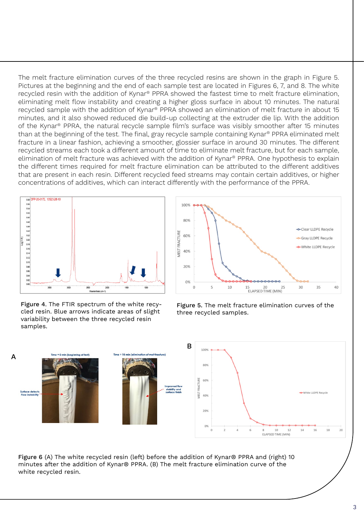The melt fracture elimination curves of the three recycled resins are shown in the graph in Figure 5. Pictures at the beginning and the end of each sample test are located in Figures 6, 7, and 8. The white recycled resin with the addition of Kynar® PPRA showed the fastest time to melt fracture elimination, eliminating melt flow instability and creating a higher gloss surface in about 10 minutes. The natural recycled sample with the addition of Kynar® PPRA showed an elimination of melt fracture in about 15 minutes, and it also showed reduced die build-up collecting at the extruder die lip. With the addition of the Kynar® PPRA, the natural recycle sample film's surface was visibly smoother after 15 minutes than at the beginning of the test. The final, gray recycle sample containing Kynar® PPRA eliminated melt fracture in a linear fashion, achieving a smoother, glossier surface in around 30 minutes. The different recycled streams each took a different amount of time to eliminate melt fracture, but for each sample, elimination of melt fracture was achieved with the addition of Kynar® PPRA. One hypothesis to explain the different times required for melt fracture elimination can be attributed to the different additives that are present in each resin. Different recycled feed streams may contain certain additives, or higher concentrations of additives, which can interact differently with the performance of the PPRA.



Figure 4. The FTIR spectrum of the white recycled resin. Blue arrows indicate areas of slight variability between the three recycled resin samples.



Figure 5. The melt fracture elimination curves of the three recycled samples.



Figure 6 (A) The white recycled resin (left) before the addition of Kynar® PPRA and (right) 10 minutes after the addition of Kynar® PPRA. (B) The melt fracture elimination curve of the white recycled resin.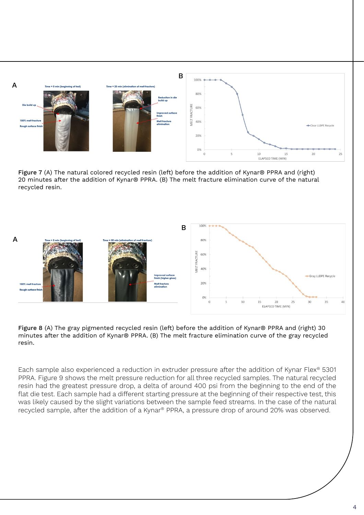

Figure 7 (A) The natural colored recycled resin (left) before the addition of Kynar® PPRA and (right) 20 minutes after the addition of Kynar® PPRA. (B) The melt fracture elimination curve of the natural recycled resin.



Figure 8 (A) The gray pigmented recycled resin (left) before the addition of Kynar® PPRA and (right) 30 minutes after the addition of Kynar® PPRA. (B) The melt fracture elimination curve of the gray recycled resin.

Each sample also experienced a reduction in extruder pressure after the addition of Kynar Flex® 5301 PPRA. Figure 9 shows the melt pressure reduction for all three recycled samples. The natural recycled resin had the greatest pressure drop, a delta of around 400 psi from the beginning to the end of the flat die test. Each sample had a different starting pressure at the beginning of their respective test, this was likely caused by the slight variations between the sample feed streams. In the case of the natural recycled sample, after the addition of a Kynar® PPRA, a pressure drop of around 20% was observed.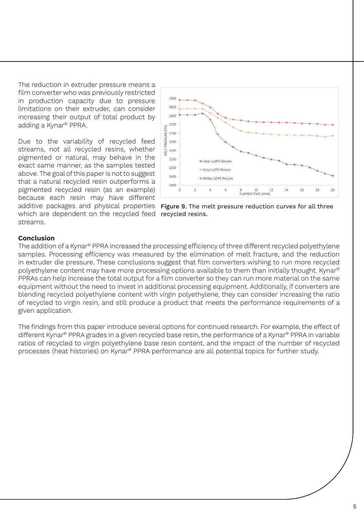The reduction in extruder pressure means a film converter who was previously restricted in production capacity due to pressure limitations on their extruder, can consider increasing their output of total product by adding a Kynar® PPRA.

Due to the variability of recycled feed streams, not all recycled resins, whether pigmented or natural, may behave in the exact same manner, as the samples tested above. The goal of this paper is not to suggest that a natural recycled resin outperforms a pigmented recycled resin (as an example) because each resin may have different additive packages and physical properties which are dependent on the recycled feed streams.



Figure 9. The melt pressure reduction curves for all three recycled resins.

# **Conclusion**

The addition of a Kynar® PPRA increased the processing efficiency of three different recycled polyethylene samples. Processing efficiency was measured by the elimination of melt fracture, and the reduction in extruder die pressure. These conclusions suggest that film converters wishing to run more recycled polyethylene content may have more processing options available to them than initially thought. Kynar® PPRAs can help increase the total output for a film converter so they can run more material on the same equipment without the need to invest in additional processing equipment. Additionally, if converters are blending recycled polyethylene content with virgin polyethylene, they can consider increasing the ratio of recycled to virgin resin, and still produce a product that meets the performance requirements of a given application.

The findings from this paper introduce several options for continued research. For example, the effect of different Kynar® PPRA grades in a given recycled base resin, the performance of a Kynar® PPRA in variable ratios of recycled to virgin polyethylene base resin content, and the impact of the number of recycled processes (heat histories) on Kynar® PPRA performance are all potential topics for further study.